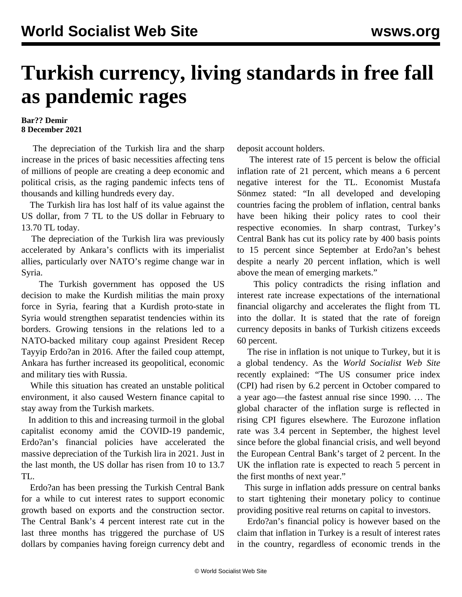## **Turkish currency, living standards in free fall as pandemic rages**

## **Bar?? Demir 8 December 2021**

 The depreciation of the Turkish lira and the sharp increase in the prices of basic necessities affecting tens of millions of people are creating a deep economic and political crisis, as the raging pandemic infects tens of thousands and killing hundreds every day.

 The Turkish lira has lost half of its value against the US dollar, from 7 TL to the US dollar in February to 13.70 TL today.

 The depreciation of the Turkish lira was previously accelerated by Ankara's conflicts with its imperialist allies, particularly over NATO's regime change war in Syria.

 The Turkish government has opposed the US decision to make the Kurdish militias the main proxy force in Syria, fearing that a Kurdish proto-state in Syria would strengthen separatist tendencies within its borders. Growing tensions in the relations led to a NATO-backed military coup against President Recep Tayyip Erdo?an in 2016. After the failed coup attempt, Ankara has further increased its geopolitical, economic and military ties with Russia.

 While this situation has created an unstable political environment, it also caused Western finance capital to stay away from the Turkish markets.

 In addition to this and increasing turmoil in the global capitalist economy amid the COVID-19 pandemic, Erdo?an's financial policies have accelerated the massive depreciation of the Turkish lira in 2021. Just in the last month, the US dollar has risen from 10 to 13.7 TL.

 Erdo?an has been pressing the Turkish Central Bank for a while to cut interest rates to support economic growth based on exports and the construction sector. The Central Bank's 4 percent interest rate cut in the last three months has triggered the purchase of US dollars by companies having foreign currency debt and deposit account holders.

 The interest rate of 15 percent is below the official inflation rate of 21 percent, which means a 6 percent negative interest for the TL. Economist Mustafa Sönmez stated: "In all developed and developing countries facing the problem of inflation, central banks have been hiking their [policy rates](https://www.theglobaleconomy.com/rankings/policy_rate/) to cool their respective economies. In sharp contrast, Turkey's Central Bank has cut its policy rate by 400 basis points to 15 percent since September at Erdo?an's behest despite a nearly 20 percent inflation, which is well above the mean of emerging markets."

 This policy contradicts the rising inflation and interest rate increase expectations of the international financial oligarchy and accelerates the flight from TL into the dollar. It is stated that the rate of foreign currency deposits in banks of Turkish citizens exceeds 60 percent.

 The rise in inflation is not unique to Turkey, but it is a global tendency. As the *World Socialist Web Site* recently [explained](/en/articles/2021/11/12/infl-n12.html): "The US consumer price index (CPI) had risen by 6.2 percent in October compared to a year ago—the fastest annual rise since 1990. … The global character of the inflation surge is reflected in rising CPI figures elsewhere. The Eurozone inflation rate was 3.4 percent in September, the highest level since before the global financial crisis, and well beyond the European Central Bank's target of 2 percent. In the UK the inflation rate is expected to reach 5 percent in the first months of next year."

 This surge in inflation adds pressure on central banks to start tightening their monetary policy to continue providing positive real returns on capital to investors.

 Erdo?an's financial policy is however based on the claim that inflation in Turkey is a result of interest rates in the country, regardless of economic trends in the